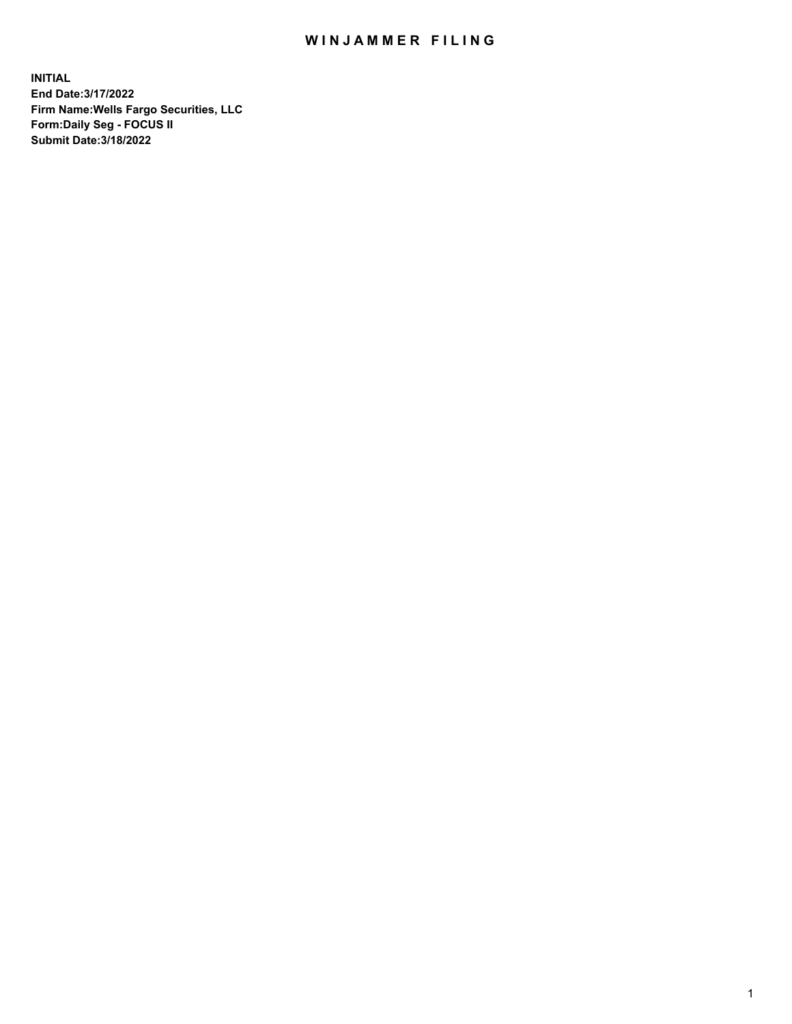## WIN JAMMER FILING

**INITIAL End Date:3/17/2022 Firm Name:Wells Fargo Securities, LLC Form:Daily Seg - FOCUS II Submit Date:3/18/2022**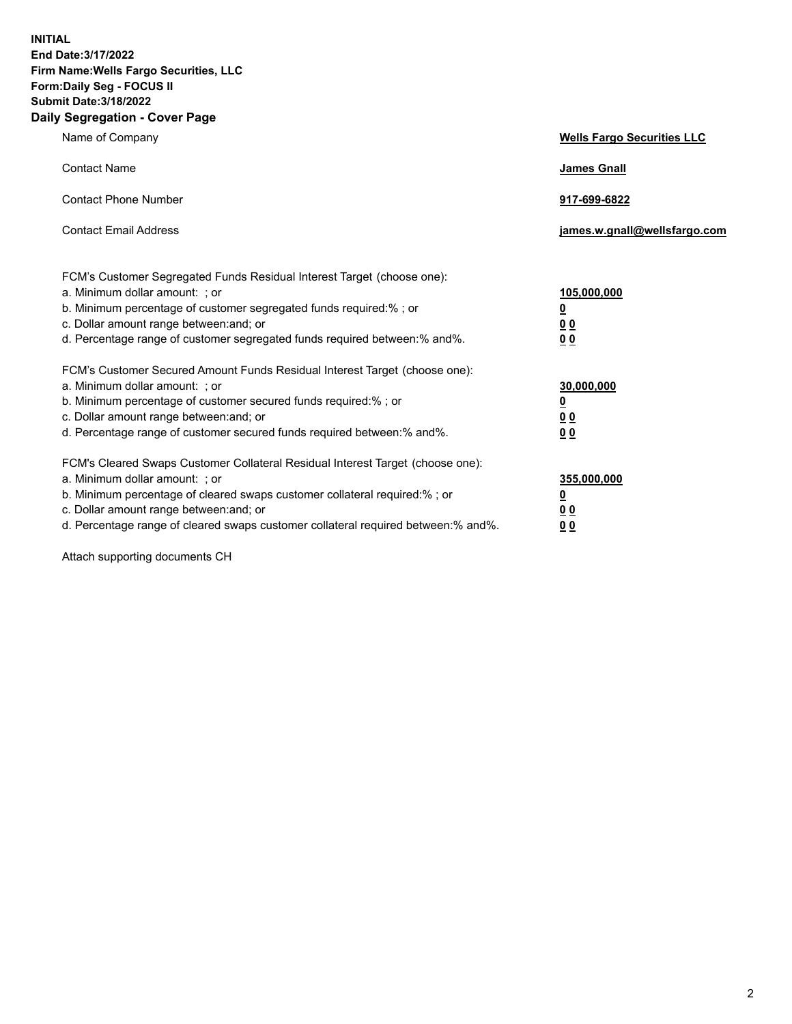**INITIAL End Date:3/17/2022 Firm Name:Wells Fargo Securities, LLC Form:Daily Seg - FOCUS II Submit Date:3/18/2022 Daily Segregation - Cover Page**

| Name of Company                                                                                                                                                                                                                                                                                                                | <b>Wells Fargo Securities LLC</b>                          |
|--------------------------------------------------------------------------------------------------------------------------------------------------------------------------------------------------------------------------------------------------------------------------------------------------------------------------------|------------------------------------------------------------|
| <b>Contact Name</b>                                                                                                                                                                                                                                                                                                            | <b>James Gnall</b>                                         |
| <b>Contact Phone Number</b>                                                                                                                                                                                                                                                                                                    | 917-699-6822                                               |
| <b>Contact Email Address</b>                                                                                                                                                                                                                                                                                                   | james.w.gnall@wellsfargo.com                               |
| FCM's Customer Segregated Funds Residual Interest Target (choose one):<br>a. Minimum dollar amount: ; or<br>b. Minimum percentage of customer segregated funds required:% ; or<br>c. Dollar amount range between: and; or<br>d. Percentage range of customer segregated funds required between:% and%.                         | 105,000,000<br><u>0</u><br>0 <sub>0</sub><br>00            |
| FCM's Customer Secured Amount Funds Residual Interest Target (choose one):<br>a. Minimum dollar amount: ; or<br>b. Minimum percentage of customer secured funds required:%; or<br>c. Dollar amount range between: and; or<br>d. Percentage range of customer secured funds required between:% and%.                            | 30,000,000<br><u>0</u><br>0 <sub>0</sub><br>0 <sub>0</sub> |
| FCM's Cleared Swaps Customer Collateral Residual Interest Target (choose one):<br>a. Minimum dollar amount: ; or<br>b. Minimum percentage of cleared swaps customer collateral required:% ; or<br>c. Dollar amount range between: and; or<br>d. Percentage range of cleared swaps customer collateral required between:% and%. | 355,000,000<br><u>0</u><br>00<br>00                        |

Attach supporting documents CH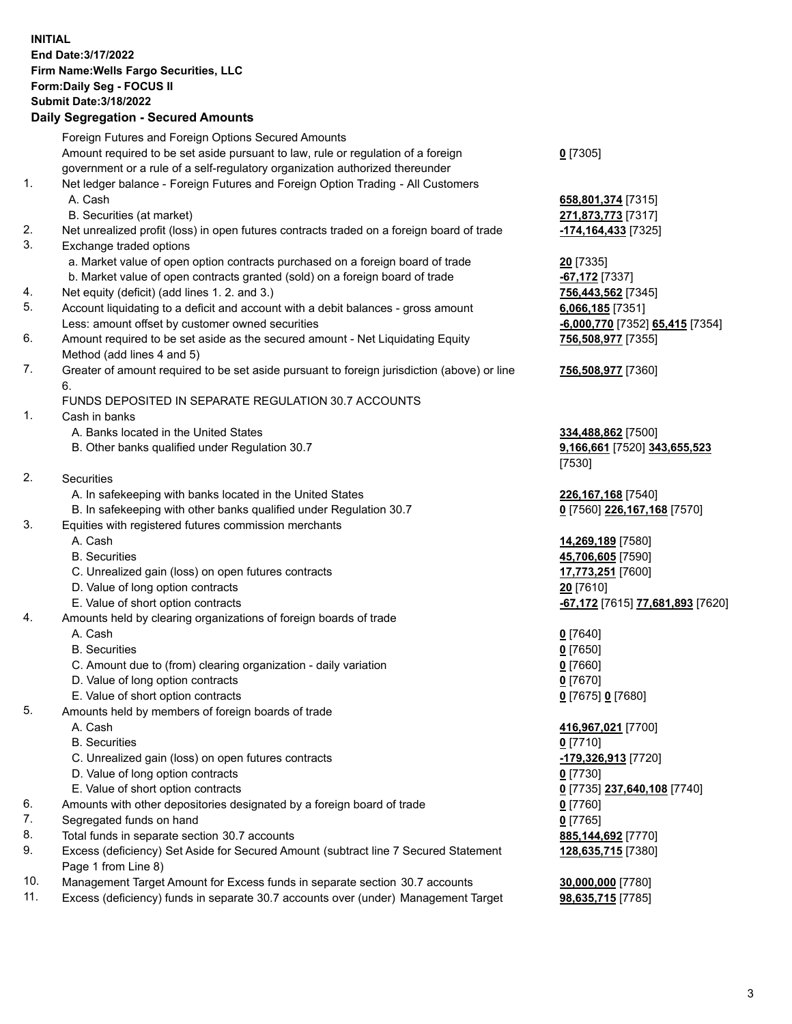**INITIAL End Date:3/17/2022 Firm Name:Wells Fargo Securities, LLC Form:Daily Seg - FOCUS II Submit Date:3/18/2022**

## **Daily Segregation - Secured Amounts**

|    | Foreign Futures and Foreign Options Secured Amounts                                         |                                               |
|----|---------------------------------------------------------------------------------------------|-----------------------------------------------|
|    | Amount required to be set aside pursuant to law, rule or regulation of a foreign            | $0$ [7305]                                    |
|    | government or a rule of a self-regulatory organization authorized thereunder                |                                               |
| 1. | Net ledger balance - Foreign Futures and Foreign Option Trading - All Customers             |                                               |
|    | A. Cash                                                                                     | 658,801,374 [7315]                            |
|    | B. Securities (at market)                                                                   | 271,873,773 [7317]                            |
| 2. | Net unrealized profit (loss) in open futures contracts traded on a foreign board of trade   | -174,164,433 [7325]                           |
| 3. | Exchange traded options                                                                     |                                               |
|    | a. Market value of open option contracts purchased on a foreign board of trade              | $20$ [7335]                                   |
|    | b. Market value of open contracts granted (sold) on a foreign board of trade                | -67,172 [7337]                                |
| 4. | Net equity (deficit) (add lines 1. 2. and 3.)                                               | 756,443,562 [7345]                            |
| 5. | Account liquidating to a deficit and account with a debit balances - gross amount           | $6,066,185$ [7351]                            |
|    | Less: amount offset by customer owned securities                                            | -6,000,770 [7352] 65,415 [7354]               |
| 6. | Amount required to be set aside as the secured amount - Net Liquidating Equity              | 756,508,977 [7355]                            |
|    | Method (add lines 4 and 5)                                                                  |                                               |
| 7. | Greater of amount required to be set aside pursuant to foreign jurisdiction (above) or line | 756,508,977 [7360]                            |
|    | 6.                                                                                          |                                               |
|    | FUNDS DEPOSITED IN SEPARATE REGULATION 30.7 ACCOUNTS                                        |                                               |
| 1. | Cash in banks                                                                               |                                               |
|    | A. Banks located in the United States                                                       | 334,488,862 [7500]                            |
|    | B. Other banks qualified under Regulation 30.7                                              | 9,166,661 [7520] 343,655,523                  |
|    |                                                                                             | [7530]                                        |
| 2. | Securities                                                                                  |                                               |
|    | A. In safekeeping with banks located in the United States                                   | 226, 167, 168 [7540]                          |
|    | B. In safekeeping with other banks qualified under Regulation 30.7                          | 0 [7560] 226,167,168 [7570]                   |
| 3. | Equities with registered futures commission merchants                                       |                                               |
|    | A. Cash                                                                                     | 14,269,189 [7580]                             |
|    | <b>B.</b> Securities                                                                        | 45,706,605 [7590]                             |
|    | C. Unrealized gain (loss) on open futures contracts                                         | 17,773,251 [7600]                             |
|    | D. Value of long option contracts                                                           | 20 [7610]                                     |
|    | E. Value of short option contracts                                                          | <mark>-67,172</mark> [7615] 77,681,893 [7620] |
| 4. | Amounts held by clearing organizations of foreign boards of trade                           |                                               |
|    | A. Cash                                                                                     | $0$ [7640]                                    |
|    | <b>B.</b> Securities                                                                        | $0$ [7650]                                    |
|    | C. Amount due to (from) clearing organization - daily variation                             | <u>0</u> [7660]                               |
|    | D. Value of long option contracts                                                           | $0$ [7670]                                    |
|    | E. Value of short option contracts                                                          | 0 [7675] 0 [7680]                             |
| 5. | Amounts held by members of foreign boards of trade                                          |                                               |
|    | A. Cash                                                                                     | 416,967,021 [7700]                            |
|    | <b>B.</b> Securities                                                                        | $0$ [7710]                                    |
|    | C. Unrealized gain (loss) on open futures contracts                                         | -179,326,913 [7720]                           |
|    | D. Value of long option contracts                                                           | $0$ [7730]                                    |
|    | E. Value of short option contracts                                                          | 0 [7735] 237,640,108 [7740]                   |
| 6. | Amounts with other depositories designated by a foreign board of trade                      | <u>0</u> [7760]                               |
| 7. | Segregated funds on hand                                                                    | $0$ [7765]                                    |
| 8. | Total funds in separate section 30.7 accounts                                               | 885,144,692 [7770]                            |
| 9. | Excess (deficiency) Set Aside for Secured Amount (subtract line 7 Secured Statement         | 128,635,715 [7380]                            |
|    | Page 1 from Line 8)                                                                         |                                               |
|    |                                                                                             |                                               |

- 10. Management Target Amount for Excess funds in separate section 30.7 accounts **30,000,000** [7780]
- 11. Excess (deficiency) funds in separate 30.7 accounts over (under) Management Target **98,635,715** [7785]

3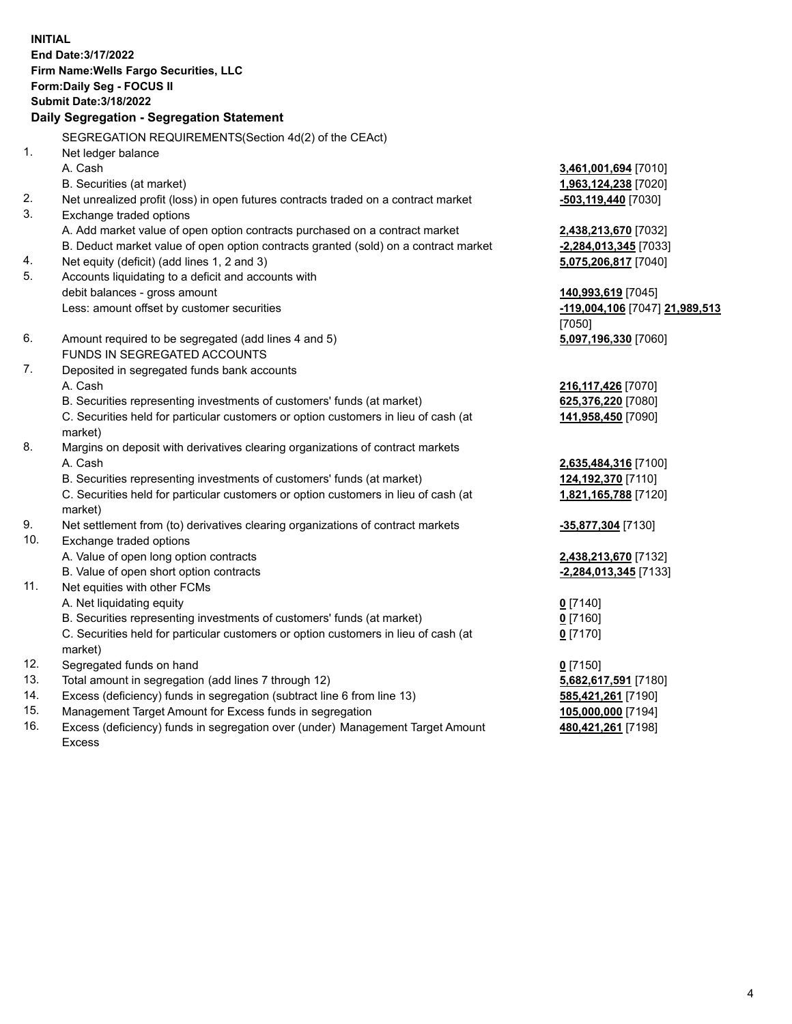**INITIAL End Date:3/17/2022 Firm Name:Wells Fargo Securities, LLC Form:Daily Seg - FOCUS II Submit Date:3/18/2022 Daily Segregation - Segregation Statement**

SEGREGATION REQUIREMENTS(Section 4d(2) of the CEAct)

|     | SEGREGATION REQUIREMENTS(Section 40(2) OF the CEACH                                 |                                |
|-----|-------------------------------------------------------------------------------------|--------------------------------|
| 1.  | Net ledger balance                                                                  |                                |
|     | A. Cash                                                                             | 3,461,001,694 [7010]           |
|     | B. Securities (at market)                                                           | 1,963,124,238 [7020]           |
| 2.  | Net unrealized profit (loss) in open futures contracts traded on a contract market  | $-503,119,440$ [7030]          |
| 3.  | Exchange traded options                                                             |                                |
|     | A. Add market value of open option contracts purchased on a contract market         | 2,438,213,670 [7032]           |
|     | B. Deduct market value of open option contracts granted (sold) on a contract market | -2,284,013,345 [7033]          |
| 4.  | Net equity (deficit) (add lines 1, 2 and 3)                                         | 5,075,206,817 [7040]           |
| 5.  | Accounts liquidating to a deficit and accounts with                                 |                                |
|     | debit balances - gross amount                                                       | 140,993,619 [7045]             |
|     | Less: amount offset by customer securities                                          | -119,004,106 [7047] 21,989,513 |
|     |                                                                                     | [7050]                         |
| 6.  | Amount required to be segregated (add lines 4 and 5)                                | 5,097,196,330 [7060]           |
|     | FUNDS IN SEGREGATED ACCOUNTS                                                        |                                |
| 7.  | Deposited in segregated funds bank accounts                                         |                                |
|     | A. Cash                                                                             | 216, 117, 426 [7070]           |
|     | B. Securities representing investments of customers' funds (at market)              | 625,376,220 [7080]             |
|     | C. Securities held for particular customers or option customers in lieu of cash (at | 141,958,450 [7090]             |
|     | market)                                                                             |                                |
| 8.  | Margins on deposit with derivatives clearing organizations of contract markets      |                                |
|     | A. Cash                                                                             | 2,635,484,316 [7100]           |
|     | B. Securities representing investments of customers' funds (at market)              | 124,192,370 [7110]             |
|     | C. Securities held for particular customers or option customers in lieu of cash (at | 1,821,165,788 [7120]           |
|     | market)                                                                             |                                |
| 9.  | Net settlement from (to) derivatives clearing organizations of contract markets     | -35,877,304 [7130]             |
| 10. | Exchange traded options                                                             |                                |
|     | A. Value of open long option contracts                                              | 2,438,213,670 [7132]           |
|     | B. Value of open short option contracts                                             | -2,284,013,345 [7133]          |
| 11. | Net equities with other FCMs                                                        |                                |
|     | A. Net liquidating equity                                                           | $0$ [7140]                     |
|     | B. Securities representing investments of customers' funds (at market)              | $0$ [7160]                     |
|     | C. Securities held for particular customers or option customers in lieu of cash (at | $0$ [7170]                     |
|     | market)                                                                             |                                |
| 12. | Segregated funds on hand                                                            | $0$ [7150]                     |
| 13. | Total amount in segregation (add lines 7 through 12)                                | 5,682,617,591 [7180]           |
| 14. | Excess (deficiency) funds in segregation (subtract line 6 from line 13)             | 585,421,261 [7190]             |
| 15. | Management Target Amount for Excess funds in segregation                            | 105,000,000 [7194]             |
| 16. | Excess (deficiency) funds in segregation over (under) Management Target Amount      | 480,421,261 [7198]             |
|     | Excess                                                                              |                                |